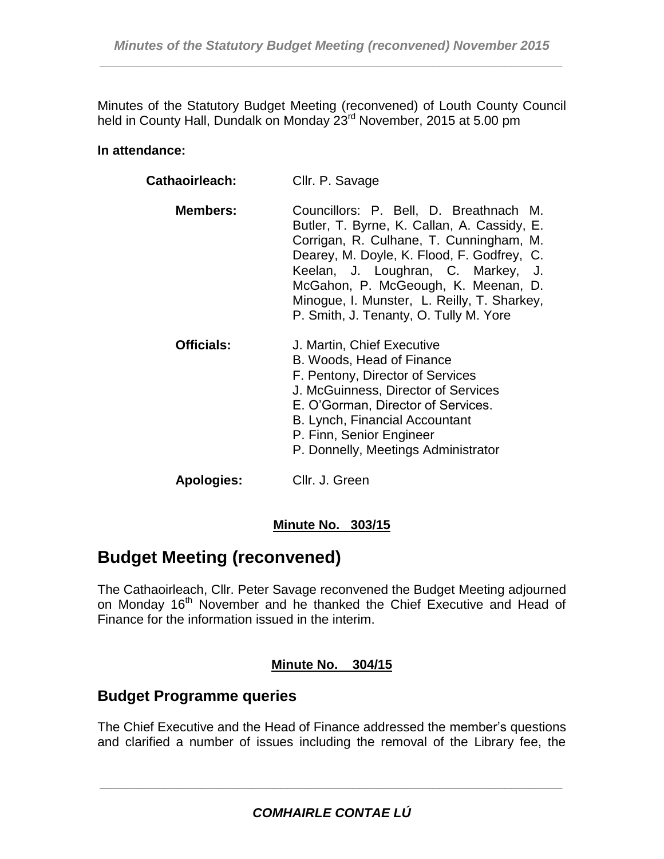Minutes of the Statutory Budget Meeting (reconvened) of Louth County Council held in County Hall, Dundalk on Monday 23<sup>rd</sup> November, 2015 at 5.00 pm

#### **In attendance:**

| Cathaoirleach:    | Cllr. P. Savage                                                                                                                                                                                                                                                                                                                                      |
|-------------------|------------------------------------------------------------------------------------------------------------------------------------------------------------------------------------------------------------------------------------------------------------------------------------------------------------------------------------------------------|
| <b>Members:</b>   | Councillors: P. Bell, D. Breathnach M.<br>Butler, T. Byrne, K. Callan, A. Cassidy, E.<br>Corrigan, R. Culhane, T. Cunningham, M.<br>Dearey, M. Doyle, K. Flood, F. Godfrey, C.<br>Keelan, J. Loughran, C. Markey, J.<br>McGahon, P. McGeough, K. Meenan, D.<br>Minogue, I. Munster, L. Reilly, T. Sharkey,<br>P. Smith, J. Tenanty, O. Tully M. Yore |
| <b>Officials:</b> | J. Martin, Chief Executive<br>B. Woods, Head of Finance<br>F. Pentony, Director of Services<br>J. McGuinness, Director of Services<br>E. O'Gorman, Director of Services.<br>B. Lynch, Financial Accountant<br>P. Finn, Senior Engineer<br>P. Donnelly, Meetings Administrator                                                                        |
| <b>Apologies:</b> | Cllr. J. Green                                                                                                                                                                                                                                                                                                                                       |

# **Minute No. 303/15**

# **Budget Meeting (reconvened)**

The Cathaoirleach, Cllr. Peter Savage reconvened the Budget Meeting adjourned on Monday 16<sup>th</sup> November and he thanked the Chief Executive and Head of Finance for the information issued in the interim.

# **Minute No. 304/15**

# **Budget Programme queries**

The Chief Executive and the Head of Finance addressed the member's questions and clarified a number of issues including the removal of the Library fee, the

*\_\_\_\_\_\_\_\_\_\_\_\_\_\_\_\_\_\_\_\_\_\_\_\_\_\_\_\_\_\_\_\_\_\_\_\_\_\_\_\_\_\_\_\_\_\_\_\_\_\_\_\_\_\_\_\_\_\_\_\_\_\_\_\_*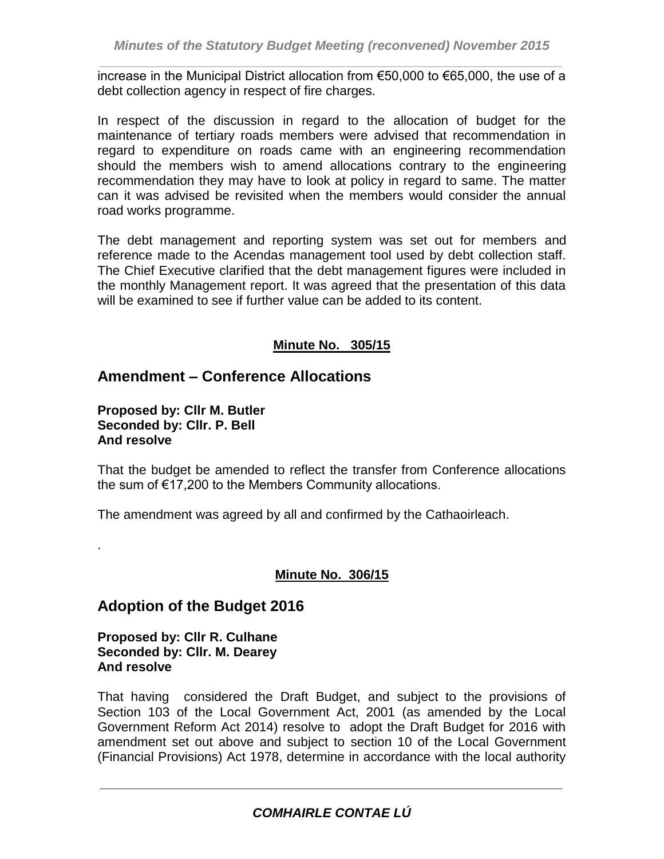*\_\_\_\_\_\_\_\_\_\_\_\_\_\_\_\_\_\_\_\_\_\_\_\_\_\_\_\_\_\_\_\_\_\_\_\_\_\_\_\_\_\_\_\_\_\_\_\_\_\_\_\_\_\_\_\_\_\_\_\_\_\_\_\_* increase in the Municipal District allocation from €50,000 to €65,000, the use of a debt collection agency in respect of fire charges.

In respect of the discussion in regard to the allocation of budget for the maintenance of tertiary roads members were advised that recommendation in regard to expenditure on roads came with an engineering recommendation should the members wish to amend allocations contrary to the engineering recommendation they may have to look at policy in regard to same. The matter can it was advised be revisited when the members would consider the annual road works programme.

The debt management and reporting system was set out for members and reference made to the Acendas management tool used by debt collection staff. The Chief Executive clarified that the debt management figures were included in the monthly Management report. It was agreed that the presentation of this data will be examined to see if further value can be added to its content.

# **Minute No. 305/15**

# **Amendment – Conference Allocations**

**Proposed by: Cllr M. Butler Seconded by: Cllr. P. Bell And resolve**

.

That the budget be amended to reflect the transfer from Conference allocations the sum of €17,200 to the Members Community allocations.

The amendment was agreed by all and confirmed by the Cathaoirleach.

### **Minute No. 306/15**

# **Adoption of the Budget 2016**

**Proposed by: Cllr R. Culhane Seconded by: Cllr. M. Dearey And resolve**

That having considered the Draft Budget, and subject to the provisions of Section 103 of the Local Government Act, 2001 (as amended by the Local Government Reform Act 2014) resolve to adopt the Draft Budget for 2016 with amendment set out above and subject to section 10 of the Local Government (Financial Provisions) Act 1978, determine in accordance with the local authority

*\_\_\_\_\_\_\_\_\_\_\_\_\_\_\_\_\_\_\_\_\_\_\_\_\_\_\_\_\_\_\_\_\_\_\_\_\_\_\_\_\_\_\_\_\_\_\_\_\_\_\_\_\_\_\_\_\_\_\_\_\_\_\_\_*